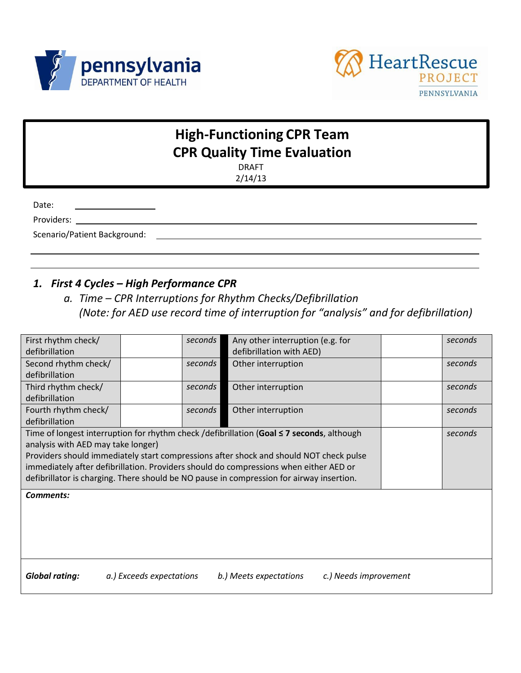



# **High-Functioning CPR Team CPR Quality Time Evaluation**

DRAFT 2/14/13

Date:

Providers: \_\_\_\_\_\_\_\_\_\_\_\_\_\_\_\_\_\_\_\_\_\_\_\_\_\_\_\_\_\_\_\_\_\_\_\_\_\_\_\_\_\_\_\_\_\_\_\_\_\_\_\_\_\_\_\_\_\_\_\_\_\_\_\_\_\_\_\_\_

Scenario/Patient Background:

#### *1. First 4 Cycles – High Performance CPR*

*a. Time – CPR Interruptions for Rhythm Checks/Defibrillation (Note: for AED use record time of interruption for "analysis" and for defibrillation)*

| First rhythm check/                                                                    |  | seconds | Any other interruption (e.g. for                                                          |  | seconds |
|----------------------------------------------------------------------------------------|--|---------|-------------------------------------------------------------------------------------------|--|---------|
| defibrillation                                                                         |  |         | defibrillation with AED)                                                                  |  |         |
| Second rhythm check/                                                                   |  | seconds | Other interruption                                                                        |  | seconds |
| defibrillation                                                                         |  |         |                                                                                           |  |         |
| Third rhythm check/                                                                    |  | seconds | Other interruption                                                                        |  | seconds |
| defibrillation                                                                         |  |         |                                                                                           |  |         |
| Fourth rhythm check/                                                                   |  | seconds | Other interruption                                                                        |  | seconds |
| defibrillation                                                                         |  |         |                                                                                           |  |         |
|                                                                                        |  |         | Time of longest interruption for rhythm check /defibrillation (Goal ≤ 7 seconds, although |  | seconds |
| analysis with AED may take longer)                                                     |  |         |                                                                                           |  |         |
| Providers should immediately start compressions after shock and should NOT check pulse |  |         |                                                                                           |  |         |
|                                                                                        |  |         |                                                                                           |  |         |
|                                                                                        |  |         | immediately after defibrillation. Providers should do compressions when either AED or     |  |         |
|                                                                                        |  |         | defibrillator is charging. There should be NO pause in compression for airway insertion.  |  |         |
| <b>Comments:</b>                                                                       |  |         |                                                                                           |  |         |
|                                                                                        |  |         |                                                                                           |  |         |
|                                                                                        |  |         |                                                                                           |  |         |
|                                                                                        |  |         |                                                                                           |  |         |
|                                                                                        |  |         |                                                                                           |  |         |
|                                                                                        |  |         |                                                                                           |  |         |
|                                                                                        |  |         |                                                                                           |  |         |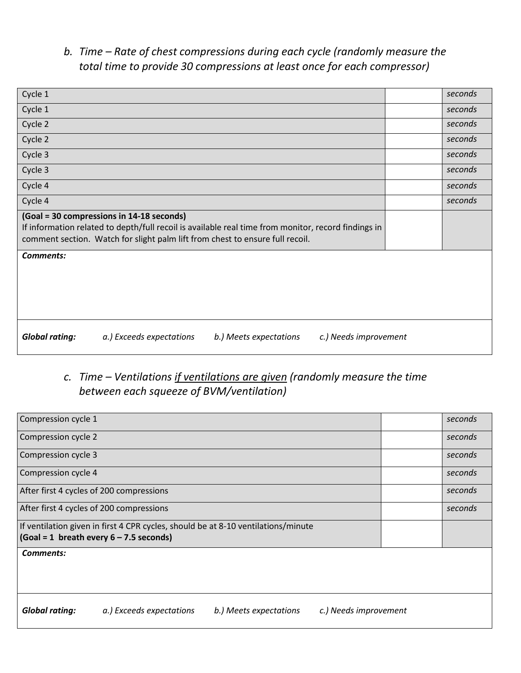### *b. Time – Rate of chest compressions during each cycle (randomly measure the total time to provide 30 compressions at least once for each compressor)*

| Cycle 1                                                                                                                                                                                                                           | seconds |
|-----------------------------------------------------------------------------------------------------------------------------------------------------------------------------------------------------------------------------------|---------|
| Cycle 1                                                                                                                                                                                                                           | seconds |
| Cycle 2                                                                                                                                                                                                                           | seconds |
| Cycle 2                                                                                                                                                                                                                           | seconds |
| Cycle 3                                                                                                                                                                                                                           | seconds |
| Cycle 3                                                                                                                                                                                                                           | seconds |
| Cycle 4                                                                                                                                                                                                                           | seconds |
| Cycle 4                                                                                                                                                                                                                           | seconds |
| (Goal = 30 compressions in 14-18 seconds)<br>If information related to depth/full recoil is available real time from monitor, record findings in<br>comment section. Watch for slight palm lift from chest to ensure full recoil. |         |
| <b>Comments:</b>                                                                                                                                                                                                                  |         |
|                                                                                                                                                                                                                                   |         |

## *c. Time – Ventilations if ventilations are given (randomly measure the time between each squeeze of BVM/ventilation)*

| Compression cycle 1   |                                                                                                                                                 |                        |                       | seconds |
|-----------------------|-------------------------------------------------------------------------------------------------------------------------------------------------|------------------------|-----------------------|---------|
| Compression cycle 2   |                                                                                                                                                 |                        |                       | seconds |
| Compression cycle 3   |                                                                                                                                                 |                        |                       | seconds |
| Compression cycle 4   |                                                                                                                                                 |                        |                       | seconds |
|                       | After first 4 cycles of 200 compressions                                                                                                        |                        |                       | seconds |
|                       | After first 4 cycles of 200 compressions                                                                                                        |                        |                       | seconds |
|                       | If ventilation given in first 4 CPR cycles, should be at 8-10 ventilations/minute<br>$(Goal = 1 \text{ breath every } 6 - 7.5 \text{ seconds})$ |                        |                       |         |
| Comments:             |                                                                                                                                                 |                        |                       |         |
|                       |                                                                                                                                                 |                        |                       |         |
|                       |                                                                                                                                                 |                        |                       |         |
| <b>Global rating:</b> | a.) Exceeds expectations                                                                                                                        | b.) Meets expectations | c.) Needs improvement |         |